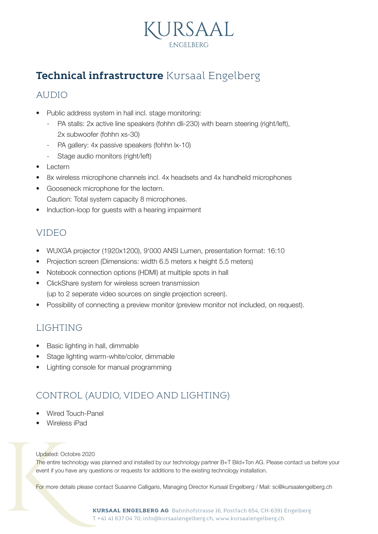

## **Technical infrastructure** Kursaal Engelberg

### AUDIO

- Public address system in hall incl. stage monitoring:
	- PA stalls: 2x active line speakers (fohhn dli-230) with beam steering (right/left), 2x subwoofer (fohhn xs-30)
	- PA gallery: 4x passive speakers (fohhn lx-10)
	- Stage audio monitors (right/left)
- Lectern
- 8x wireless microphone channels incl. 4x headsets and 4x handheld microphones
- Gooseneck microphone for the lectern. Caution: Total system capacity 8 microphones.
- Induction-loop for guests with a hearing impairment

### VIDEO

- WUXGA projector (1920x1200), 9'000 ANSI Lumen, presentation format: 16:10
- Projection screen (Dimensions: width 6.5 meters x height 5.5 meters)
- Notebook connection options (HDMI) at multiple spots in hall
- ClickShare system for wireless screen transmission (up to 2 seperate video sources on single projection screen).
- Possibility of connecting a preview monitor (preview monitor not included, on request).

### LIGHTING

- Basic lighting in hall, dimmable
- Stage lighting warm-white/color, dimmable
- Lighting console for manual programming

### CONTROL (AUDIO, VIDEO AND LIGHTING)

- Wired Touch-Panel
- Wireless iPad

Updated: Octobre 2020

The entire technology was planned and installed by our technology partner B+T Bild+Ton AG. Please contact us before your event if you have any questions or requests for additions to the existing technology installation.

For more details please contact Susanne Calligaris, Managing Director Kursaal Engelberg / Mail: sc@kursaalengelberg.ch